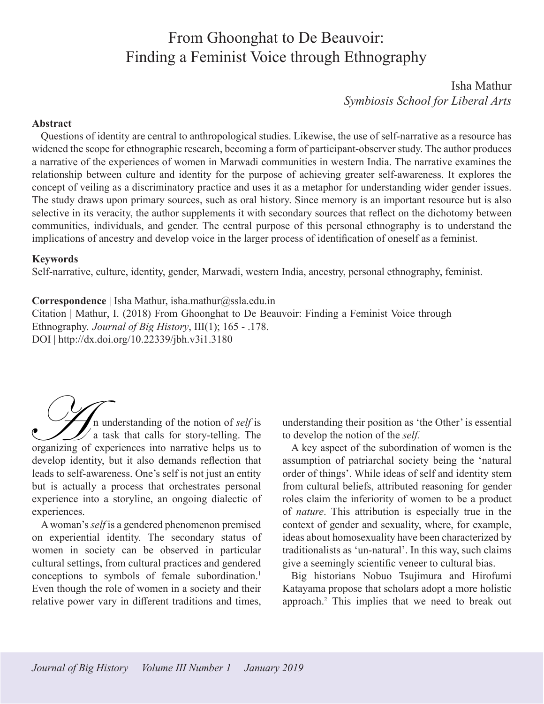# From Ghoonghat to De Beauvoir: Finding a Feminist Voice through Ethnography

Isha Mathur *Symbiosis School for Liberal Arts*

#### <span id="page-0-0"></span>**Abstract**

Questions of identity are central to anthropological studies. Likewise, the use of self-narrative as a resource has widened the scope for ethnographic research, becoming a form of participant-observer study. The author produces a narrative of the experiences of women in Marwadi communities in western India. The narrative examines the relationship between culture and identity for the purpose of achieving greater self-awareness. It explores the concept of veiling as a discriminatory practice and uses it as a metaphor for understanding wider gender issues. The study draws upon primary sources, such as oral history. Since memory is an important resource but is also selective in its veracity, the author supplements it with secondary sources that reflect on the dichotomy between communities, individuals, and gender. The central purpose of this personal ethnography is to understand the implications of ancestry and develop voice in the larger process of identification of oneself as a feminist.

#### **Keywords**

Self-narrative, culture, identity, gender, Marwadi, western India, ancestry, personal ethnography, feminist.

#### **Correspondence** | Isha Mathur, isha.mathur@ssla.edu.in

Citation | Mathur, I. (2018) From Ghoonghat to De Beauvoir: Finding a Feminist Voice through Ethnography. *Journal of Big History*, III(1); 165 - .178. DOI | http://dx.doi.org/10.22339/jbh.v3i1.3180

n understanding of the notion of *self* is a task that calls for story-telling. The **ORGANISION** in understanding of the notion of *self* is<br>a task that calls for story-telling. The<br>organizing of experiences into narrative helps us to develop identity, but it also demands reflection that leads to self-awareness. One's self is not just an entity but is actually a process that orchestrates personal experience into a storyline, an ongoing dialectic of experiences.

A woman's *self* is a gendered phenomenon premised on experiential identity. The secondary status of women in society can be observed in particular cultural settings, from cultural practices and gendered conceptions to symbols of female subordination.<sup>[1](#page-12-0)</sup> Even though the role of women in a society and their relative power vary in different traditions and times, understanding their position as 'the Other' is essential to develop the notion of the *self.* 

A key aspect of the subordination of women is the assumption of patriarchal society being the 'natural order of things'. While ideas of self and identity stem from cultural beliefs, attributed reasoning for gender roles claim the inferiority of women to be a product of *nature*. This attribution is especially true in the context of gender and sexuality, where, for example, ideas about homosexuality have been characterized by traditionalists as 'un-natural'. In this way, such claims give a seemingly scientific veneer to cultural bias.

Big historians Nobuo Tsujimura and Hirofumi Katayama propose that scholars adopt a more holistic approach.[2](#page-12-0) This implies that we need to break out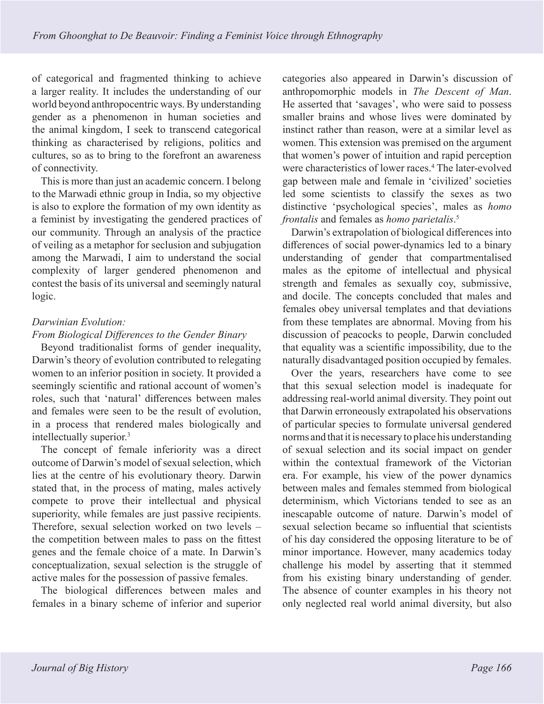<span id="page-1-0"></span>of categorical and fragmented thinking to achieve a larger reality. It includes the understanding of our world beyond anthropocentric ways. By understanding gender as a phenomenon in human societies and the animal kingdom, I seek to transcend categorical thinking as characterised by religions, politics and cultures, so as to bring to the forefront an awareness of connectivity.

This is more than just an academic concern. I belong to the Marwadi ethnic group in India, so my objective is also to explore the formation of my own identity as a feminist by investigating the gendered practices of our community. Through an analysis of the practice of veiling as a metaphor for seclusion and subjugation among the Marwadi, I aim to understand the social complexity of larger gendered phenomenon and contest the basis of its universal and seemingly natural logic.

# *Darwinian Evolution:*

## *From Biological Differences to the Gender Binary*

Beyond traditionalist forms of gender inequality, Darwin's theory of evolution contributed to relegating women to an inferior position in society. It provided a seemingly scientific and rational account of women's roles, such that 'natural' differences between males and females were seen to be the result of evolution, in a process that rendered males biologically and intellectually superior[.3](#page-12-0)

The concept of female inferiority was a direct outcome of Darwin's model of sexual selection, which lies at the centre of his evolutionary theory. Darwin stated that, in the process of mating, males actively compete to prove their intellectual and physical superiority, while females are just passive recipients. Therefore, sexual selection worked on two levels – the competition between males to pass on the fittest genes and the female choice of a mate. In Darwin's conceptualization, sexual selection is the struggle of active males for the possession of passive females.

The biological differences between males and females in a binary scheme of inferior and superior categories also appeared in Darwin's discussion of anthropomorphic models in *The Descent of Man*. He asserted that 'savages', who were said to possess smaller brains and whose lives were dominated by instinct rather than reason, were at a similar level as women. This extension was premised on the argument that women's power of intuition and rapid perception were characteristics of lower races.<sup>[4](#page-12-0)</sup> The later-evolved gap between male and female in 'civilized' societies led some scientists to classify the sexes as two distinctive 'psychological species', males as *homo frontalis* and females as *homo parietalis*. [5](#page-12-0)

Darwin's extrapolation of biological differences into differences of social power-dynamics led to a binary understanding of gender that compartmentalised males as the epitome of intellectual and physical strength and females as sexually coy, submissive, and docile. The concepts concluded that males and females obey universal templates and that deviations from these templates are abnormal. Moving from his discussion of peacocks to people, Darwin concluded that equality was a scientific impossibility, due to the naturally disadvantaged position occupied by females.

Over the years, researchers have come to see that this sexual selection model is inadequate for addressing real-world animal diversity. They point out that Darwin erroneously extrapolated his observations of particular species to formulate universal gendered norms and that it is necessary to place his understanding of sexual selection and its social impact on gender within the contextual framework of the Victorian era. For example, his view of the power dynamics between males and females stemmed from biological determinism, which Victorians tended to see as an inescapable outcome of nature. Darwin's model of sexual selection became so influential that scientists of his day considered the opposing literature to be of minor importance. However, many academics today challenge his model by asserting that it stemmed from his existing binary understanding of gender. The absence of counter examples in his theory not only neglected real world animal diversity, but also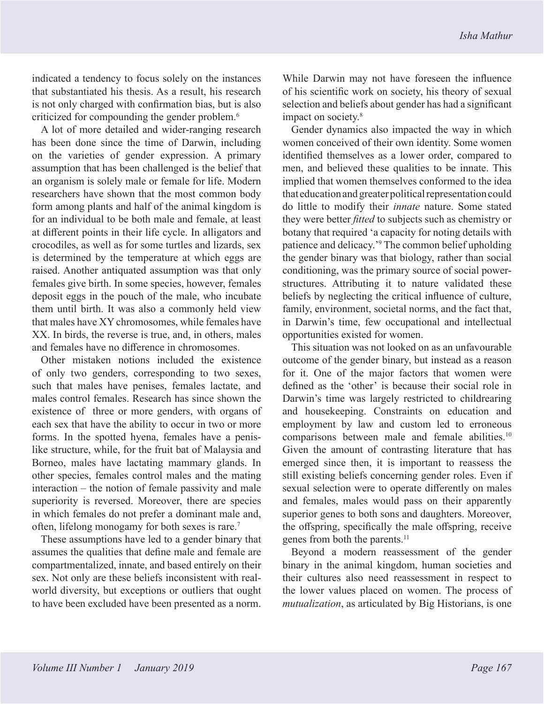<span id="page-2-0"></span>indicated a tendency to focus solely on the instances that substantiated his thesis. As a result, his research is not only charged with confirmation bias, but is also criticized for compounding the gender problem. [6](#page-12-0)

A lot of more detailed and wider-ranging research has been done since the time of Darwin, including on the varieties of gender expression. A primary assumption that has been challenged is the belief that an organism is solely male or female for life. Modern researchers have shown that the most common body form among plants and half of the animal kingdom is for an individual to be both male and female, at least at different points in their life cycle. In alligators and crocodiles, as well as for some turtles and lizards, sex is determined by the temperature at which eggs are raised. Another antiquated assumption was that only females give birth. In some species, however, females deposit eggs in the pouch of the male, who incubate them until birth. It was also a commonly held view that males have XY chromosomes, while females have XX. In birds, the reverse is true, and, in others, males and females have no difference in chromosomes.

Other mistaken notions included the existence of only two genders, corresponding to two sexes, such that males have penises, females lactate, and males control females. Research has since shown the existence of three or more genders, with organs of each sex that have the ability to occur in two or more forms. In the spotted hyena, females have a penislike structure, while, for the fruit bat of Malaysia and Borneo, males have lactating mammary glands. In other species, females control males and the mating interaction – the notion of female passivity and male superiority is reversed. Moreover, there are species in which females do not prefer a dominant male and, often, lifelong monogamy for both sexes is rare.[7](#page-12-0)

These assumptions have led to a gender binary that assumes the qualities that define male and female are compartmentalized, innate, and based entirely on their sex. Not only are these beliefs inconsistent with realworld diversity, but exceptions or outliers that ought to have been excluded have been presented as a norm.

While Darwin may not have foreseen the influence of his scientific work on society, his theory of sexual selection and beliefs about gender has had a significant impact on society.<sup>[8](#page-12-0)</sup>

Gender dynamics also impacted the way in which women conceived of their own identity. Some women identified themselves as a lower order, compared to men, and believed these qualities to be innate. This implied that women themselves conformed to the idea that education and greater political representation could do little to modify their *innate* nature. Some stated they were better *fitted* to subjects such as chemistry or botany that required 'a capacity for noting details with patience and delicacy.['9](#page-12-0) The common belief upholding the gender binary was that biology, rather than social conditioning, was the primary source of social powerstructures. Attributing it to nature validated these beliefs by neglecting the critical influence of culture, family, environment, societal norms, and the fact that, in Darwin's time, few occupational and intellectual opportunities existed for women.

This situation was not looked on as an unfavourable outcome of the gender binary, but instead as a reason for it. One of the major factors that women were defined as the 'other' is because their social role in Darwin's time was largely restricted to childrearing and housekeeping. Constraints on education and employment by law and custom led to erroneous comparisons between male and female abilities[.10](#page-12-0) Given the amount of contrasting literature that has emerged since then, it is important to reassess the still existing beliefs concerning gender roles. Even if sexual selection were to operate differently on males and females, males would pass on their apparently superior genes to both sons and daughters. Moreover, the offspring, specifically the male offspring, receive genes from both the parents.<sup>11</sup>

Beyond a modern reassessment of the gender binary in the animal kingdom, human societies and their cultures also need reassessment in respect to the lower values placed on women. The process of *mutualization*, as articulated by Big Historians, is one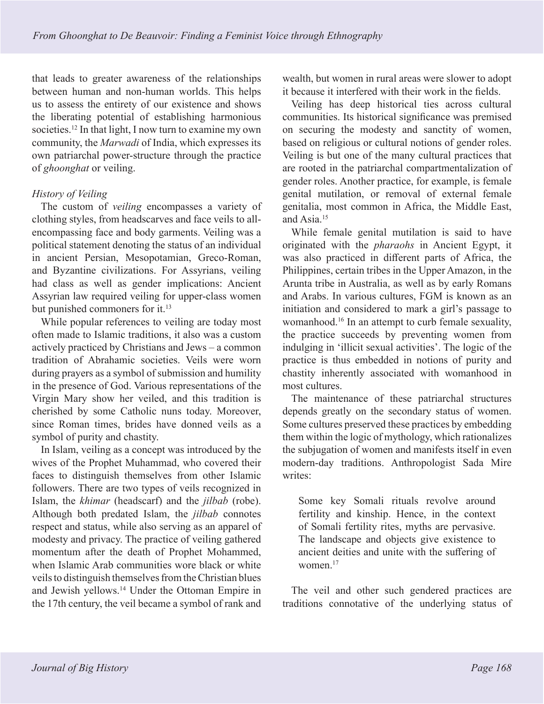<span id="page-3-0"></span>that leads to greater awareness of the relationships between human and non-human worlds. This helps us to assess the entirety of our existence and shows the liberating potential of establishing harmonious societies.<sup>12</sup> In that light, I now turn to examine my own community, the *Marwadi* of India, which expresses its own patriarchal power-structure through the practice of *ghoonghat* or veiling.

## *History of Veiling*

The custom of *veiling* encompasses a variety of clothing styles, from headscarves and face veils to allencompassing face and body garments. Veiling was a political statement denoting the status of an individual in ancient Persian, Mesopotamian, Greco-Roman, and Byzantine civilizations. For Assyrians, veiling had class as well as gender implications: Ancient Assyrian law required veiling for upper-class women but punished commoners for it.<sup>13</sup>

While popular references to veiling are today most often made to Islamic traditions, it also was a custom actively practiced by Christians and Jews – a common tradition of Abrahamic societies. Veils were worn during prayers as a symbol of submission and humility in the presence of God. Various representations of the Virgin Mary show her veiled, and this tradition is cherished by some Catholic nuns today. Moreover, since Roman times, brides have donned veils as a symbol of purity and chastity.

In Islam, veiling as a concept was introduced by the wives of the Prophet Muhammad, who covered their faces to distinguish themselves from other Islamic followers. There are two types of veils recognized in Islam, the *khimar* (headscarf) and the *jilbab* (robe). Although both predated Islam, the *jilbab* connotes respect and status, while also serving as an apparel of modesty and privacy. The practice of veiling gathered momentum after the death of Prophet Mohammed, when Islamic Arab communities wore black or white veils to distinguish themselves from the Christian blues and Jewish yellows.[14](#page-12-0) Under the Ottoman Empire in the 17th century, the veil became a symbol of rank and

wealth, but women in rural areas were slower to adopt it because it interfered with their work in the fields.

Veiling has deep historical ties across cultural communities. Its historical significance was premised on securing the modesty and sanctity of women, based on religious or cultural notions of gender roles. Veiling is but one of the many cultural practices that are rooted in the patriarchal compartmentalization of gender roles. Another practice, for example, is female genital mutilation, or removal of external female genitalia, most common in Africa, the Middle East, and Asia.[15](#page-12-0)

While female genital mutilation is said to have originated with the *pharaohs* in Ancient Egypt, it was also practiced in different parts of Africa, the Philippines, certain tribes in the Upper Amazon, in the Arunta tribe in Australia, as well as by early Romans and Arabs. In various cultures, FGM is known as an initiation and considered to mark a girl's passage to womanhood[.16](#page-12-0) In an attempt to curb female sexuality, the practice succeeds by preventing women from indulging in 'illicit sexual activities'. The logic of the practice is thus embedded in notions of purity and chastity inherently associated with womanhood in most cultures.

The maintenance of these patriarchal structures depends greatly on the secondary status of women. Some cultures preserved these practices by embedding them within the logic of mythology, which rationalizes the subjugation of women and manifests itself in even modern-day traditions. Anthropologist Sada Mire writes:

Some key Somali rituals revolve around fertility and kinship. Hence, in the context of Somali fertility rites, myths are pervasive. The landscape and objects give existence to ancient deities and unite with the suffering of women[.17](#page-12-0)

The veil and other such gendered practices are traditions connotative of the underlying status of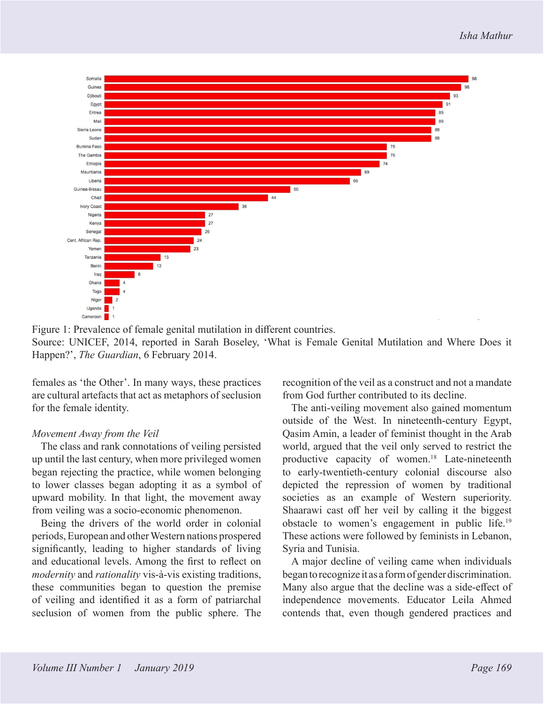<span id="page-4-0"></span>

Figure 1: Prevalence of female genital mutilation in different countries. Source: UNICEF, 2014, reported in Sarah Boseley, 'What is Female Genital Mutilation and Where Does it Happen?', *The Guardian*, 6 February 2014.

females as 'the Other'. In many ways, these practices are cultural artefacts that act as metaphors of seclusion for the female identity.

### *Movement Away from the Veil*

The class and rank connotations of veiling persisted up until the last century, when more privileged women began rejecting the practice, while women belonging to lower classes began adopting it as a symbol of upward mobility. In that light, the movement away from veiling was a socio-economic phenomenon.

Being the drivers of the world order in colonial periods, European and other Western nations prospered significantly, leading to higher standards of living and educational levels. Among the first to reflect on *modernity* and *rationality* vis-à-vis existing traditions, these communities began to question the premise of veiling and identified it as a form of patriarchal seclusion of women from the public sphere. The

recognition of the veil as a construct and not a mandate from God further contributed to its decline.

The anti-veiling movement also gained momentum outside of the West. In nineteenth-century Egypt, Qasim Amin, a leader of feminist thought in the Arab world, argued that the veil only served to restrict the productive capacity of women.<sup>18</sup> Late-nineteenth to early-twentieth-century colonial discourse also depicted the repression of women by traditional societies as an example of Western superiority. Shaarawi cast off her veil by calling it the biggest obstacle to women's engagement in public life[.19](#page-12-0) These actions were followed by feminists in Lebanon, Syria and Tunisia.

A major decline of veiling came when individuals began to recognize it as a form of gender discrimination. Many also argue that the decline was a side-effect of independence movements. Educator Leila Ahmed contends that, even though gendered practices and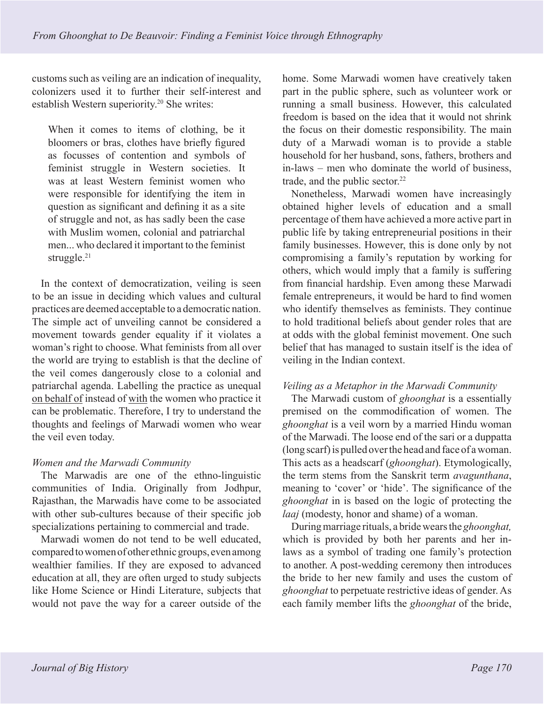<span id="page-5-0"></span>customs such as veiling are an indication of inequality, colonizers used it to further their self-interest and establish Western superiority[.20](#page-13-0) She writes:

When it comes to items of clothing, be it bloomers or bras, clothes have briefly figured as focusses of contention and symbols of feminist struggle in Western societies. It was at least Western feminist women who were responsible for identifying the item in question as significant and defining it as a site of struggle and not, as has sadly been the case with Muslim women, colonial and patriarchal men... who declared it important to the feminist struggle.<sup>[21](#page-13-0)</sup>

In the context of democratization, veiling is seen to be an issue in deciding which values and cultural practices are deemed acceptable to a democratic nation. The simple act of unveiling cannot be considered a movement towards gender equality if it violates a woman's right to choose. What feminists from all over the world are trying to establish is that the decline of the veil comes dangerously close to a colonial and patriarchal agenda. Labelling the practice as unequal on behalf of instead of with the women who practice it can be problematic. Therefore, I try to understand the thoughts and feelings of Marwadi women who wear the veil even today.

## *Women and the Marwadi Community*

The Marwadis are one of the ethno-linguistic communities of India. Originally from Jodhpur, Rajasthan, the Marwadis have come to be associated with other sub-cultures because of their specific job specializations pertaining to commercial and trade.

Marwadi women do not tend to be well educated, compared to women of other ethnic groups, even among wealthier families. If they are exposed to advanced education at all, they are often urged to study subjects like Home Science or Hindi Literature, subjects that would not pave the way for a career outside of the

home. Some Marwadi women have creatively taken part in the public sphere, such as volunteer work or running a small business. However, this calculated freedom is based on the idea that it would not shrink the focus on their domestic responsibility. The main duty of a Marwadi woman is to provide a stable household for her husband, sons, fathers, brothers and in-laws – men who dominate the world of business, trade, and the public sector.<sup>[22](#page-13-0)</sup>

Nonetheless, Marwadi women have increasingly obtained higher levels of education and a small percentage of them have achieved a more active part in public life by taking entrepreneurial positions in their family businesses. However, this is done only by not compromising a family's reputation by working for others, which would imply that a family is suffering from financial hardship. Even among these Marwadi female entrepreneurs, it would be hard to find women who identify themselves as feminists. They continue to hold traditional beliefs about gender roles that are at odds with the global feminist movement. One such belief that has managed to sustain itself is the idea of veiling in the Indian context.

## *Veiling as a Metaphor in the Marwadi Community*

The Marwadi custom of *ghoonghat* is a essentially premised on the commodification of women. The *ghoonghat* is a veil worn by a married Hindu woman of the Marwadi. The loose end of the sari or a duppatta (long scarf) is pulled over the head and face of a woman. This acts as a headscarf (*ghoonghat*). Etymologically, the term stems from the Sanskrit term *avagunthana*, meaning to 'cover' or 'hide'. The significance of the *ghoonghat* in is based on the logic of protecting the *laaj* (modesty, honor and shame) of a woman.

During marriage rituals, a bride wears the *ghoonghat,*  which is provided by both her parents and her inlaws as a symbol of trading one family's protection to another. A post-wedding ceremony then introduces the bride to her new family and uses the custom of *ghoonghat* to perpetuate restrictive ideas of gender. As each family member lifts the *ghoonghat* of the bride,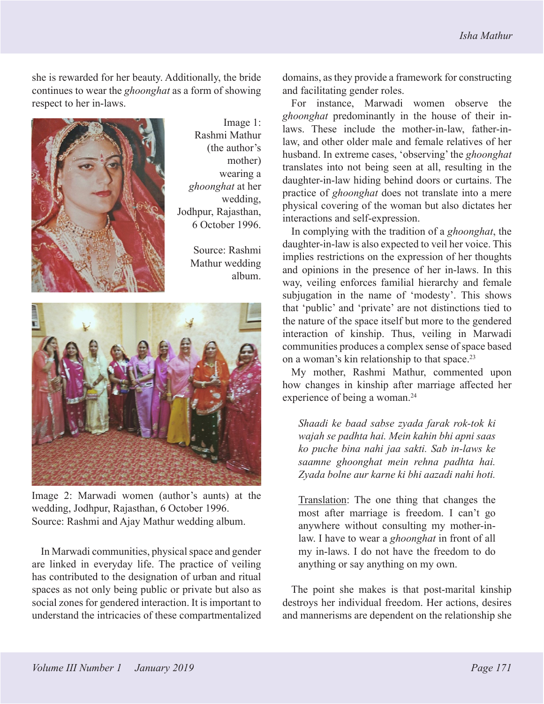<span id="page-6-0"></span>she is rewarded for her beauty. Additionally, the bride continues to wear the *ghoonghat* as a form of showing respect to her in-laws.



Image 1: Rashmi Mathur (the author's mother) wearing a *ghoonghat* at her wedding, Jodhpur, Rajasthan, 6 October 1996.

> Source: Rashmi Mathur wedding album.



Image 2: Marwadi women (author's aunts) at the wedding, Jodhpur, Rajasthan, 6 October 1996. Source: Rashmi and Ajay Mathur wedding album.

In Marwadi communities, physical space and gender are linked in everyday life. The practice of veiling has contributed to the designation of urban and ritual spaces as not only being public or private but also as social zones for gendered interaction. It is important to understand the intricacies of these compartmentalized domains, as they provide a framework for constructing and facilitating gender roles.

For instance, Marwadi women observe the *ghoonghat* predominantly in the house of their inlaws. These include the mother-in-law, father-inlaw, and other older male and female relatives of her husband. In extreme cases, 'observing' the *ghoonghat* translates into not being seen at all, resulting in the daughter-in-law hiding behind doors or curtains. The practice of *ghoonghat* does not translate into a mere physical covering of the woman but also dictates her interactions and self-expression.

In complying with the tradition of a *ghoonghat*, the daughter-in-law is also expected to veil her voice. This implies restrictions on the expression of her thoughts and opinions in the presence of her in-laws. In this way, veiling enforces familial hierarchy and female subjugation in the name of 'modesty'. This shows that 'public' and 'private' are not distinctions tied to the nature of the space itself but more to the gendered interaction of kinship. Thus, veiling in Marwadi communities produces a complex sense of space based on a woman's kin relationship to that space.[23](#page-13-0)

My mother, Rashmi Mathur, commented upon how changes in kinship after marriage affected her experience of being a woman.<sup>24</sup>

*Shaadi ke baad sabse zyada farak rok-tok ki wajah se padhta hai. Mein kahin bhi apni saas ko puche bina nahi jaa sakti. Sab in-laws ke saamne ghoonghat mein rehna padhta hai. Zyada bolne aur karne ki bhi aazadi nahi hoti.*

Translation: The one thing that changes the most after marriage is freedom. I can't go anywhere without consulting my mother-inlaw. I have to wear a *ghoonghat* in front of all my in-laws. I do not have the freedom to do anything or say anything on my own.

The point she makes is that post-marital kinship destroys her individual freedom. Her actions, desires and mannerisms are dependent on the relationship she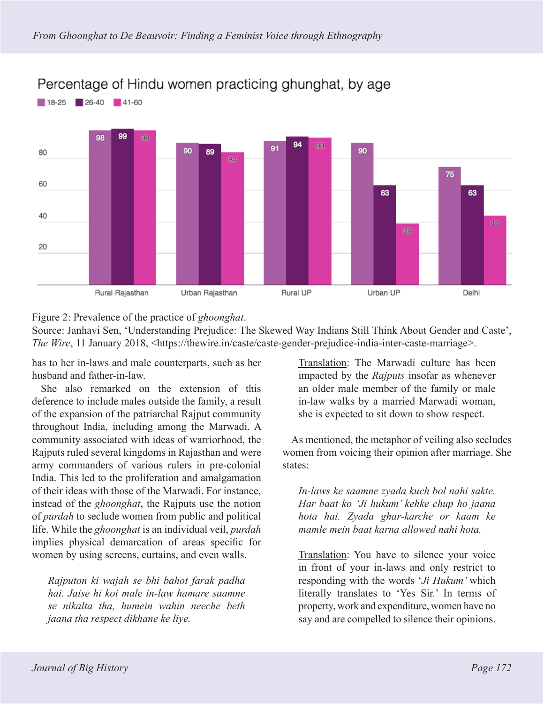

Percentage of Hindu women practicing ghunghat, by age

Figure 2: Prevalence of the practice of *ghoonghat*.

Source: Janhavi Sen, 'Understanding Prejudice: The Skewed Way Indians Still Think About Gender and Caste', *The Wire*, 11 January 2018, <https://thewire.in/caste/caste-gender-prejudice-india-inter-caste-marriage>.

has to her in-laws and male counterparts, such as her husband and father-in-law.

She also remarked on the extension of this deference to include males outside the family, a result of the expansion of the patriarchal Rajput community throughout India, including among the Marwadi. A community associated with ideas of warriorhood, the Rajputs ruled several kingdoms in Rajasthan and were army commanders of various rulers in pre-colonial India. This led to the proliferation and amalgamation of their ideas with those of the Marwadi. For instance, instead of the *ghoonghat*, the Rajputs use the notion of *purdah* to seclude women from public and political life. While the *ghoonghat* is an individual veil, *purdah* implies physical demarcation of areas specific for women by using screens, curtains, and even walls.

*Rajputon ki wajah se bhi bahot farak padha hai. Jaise hi koi male in-law hamare saamne se nikalta tha, humein wahin neeche beth jaana tha respect dikhane ke liye.*

Translation: The Marwadi culture has been impacted by the *Rajputs* insofar as whenever an older male member of the family or male in-law walks by a married Marwadi woman, she is expected to sit down to show respect.

As mentioned, the metaphor of veiling also secludes women from voicing their opinion after marriage. She states:

*In-laws ke saamne zyada kuch bol nahi sakte. Har baat ko 'Ji hukum' kehke chup ho jaana hota hai. Zyada ghar-karche or kaam ke mamle mein baat karna allowed nahi hota.*

Translation: You have to silence your voice in front of your in-laws and only restrict to responding with the words '*Ji Hukum'* which literally translates to 'Yes Sir.' In terms of property, work and expenditure, women have no say and are compelled to silence their opinions.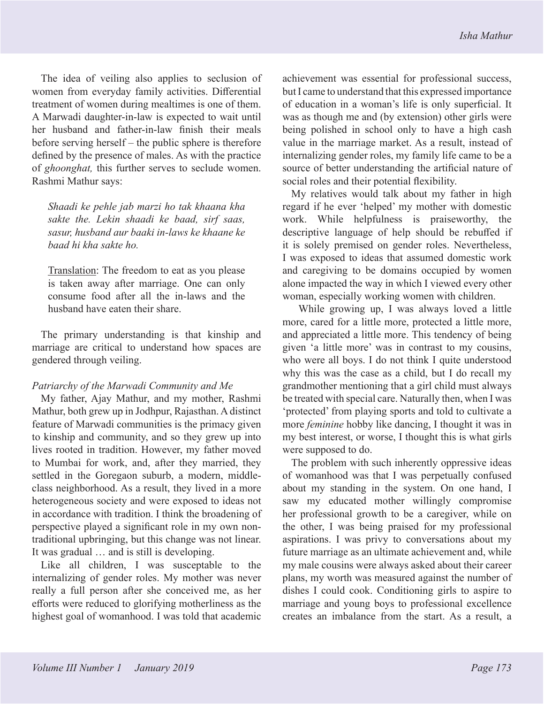The idea of veiling also applies to seclusion of women from everyday family activities. Differential treatment of women during mealtimes is one of them. A Marwadi daughter-in-law is expected to wait until her husband and father-in-law finish their meals before serving herself – the public sphere is therefore defined by the presence of males. As with the practice of *ghoonghat,* this further serves to seclude women. Rashmi Mathur says:

*Shaadi ke pehle jab marzi ho tak khaana kha sakte the. Lekin shaadi ke baad, sirf saas, sasur, husband aur baaki in-laws ke khaane ke baad hi kha sakte ho.*

Translation: The freedom to eat as you please is taken away after marriage. One can only consume food after all the in-laws and the husband have eaten their share.

The primary understanding is that kinship and marriage are critical to understand how spaces are gendered through veiling.

### *Patriarchy of the Marwadi Community and Me*

My father, Ajay Mathur, and my mother, Rashmi Mathur, both grew up in Jodhpur, Rajasthan. A distinct feature of Marwadi communities is the primacy given to kinship and community, and so they grew up into lives rooted in tradition. However, my father moved to Mumbai for work, and, after they married, they settled in the Goregaon suburb, a modern, middleclass neighborhood. As a result, they lived in a more heterogeneous society and were exposed to ideas not in accordance with tradition. I think the broadening of perspective played a significant role in my own nontraditional upbringing, but this change was not linear. It was gradual … and is still is developing.

Like all children, I was susceptable to the internalizing of gender roles. My mother was never really a full person after she conceived me, as her efforts were reduced to glorifying motherliness as the highest goal of womanhood. I was told that academic

achievement was essential for professional success, but I came to understand that this expressed importance of education in a woman's life is only superficial. It was as though me and (by extension) other girls were being polished in school only to have a high cash value in the marriage market. As a result, instead of internalizing gender roles, my family life came to be a source of better understanding the artificial nature of social roles and their potential flexibility.

My relatives would talk about my father in high regard if he ever 'helped' my mother with domestic work. While helpfulness is praiseworthy, the descriptive language of help should be rebuffed if it is solely premised on gender roles. Nevertheless, I was exposed to ideas that assumed domestic work and caregiving to be domains occupied by women alone impacted the way in which I viewed every other woman, especially working women with children.

While growing up, I was always loved a little more, cared for a little more, protected a little more, and appreciated a little more. This tendency of being given 'a little more' was in contrast to my cousins, who were all boys. I do not think I quite understood why this was the case as a child, but I do recall my grandmother mentioning that a girl child must always be treated with special care. Naturally then, when I was 'protected' from playing sports and told to cultivate a more *feminine* hobby like dancing, I thought it was in my best interest, or worse, I thought this is what girls were supposed to do.

The problem with such inherently oppressive ideas of womanhood was that I was perpetually confused about my standing in the system. On one hand, I saw my educated mother willingly compromise her professional growth to be a caregiver, while on the other, I was being praised for my professional aspirations. I was privy to conversations about my future marriage as an ultimate achievement and, while my male cousins were always asked about their career plans, my worth was measured against the number of dishes I could cook. Conditioning girls to aspire to marriage and young boys to professional excellence creates an imbalance from the start. As a result, a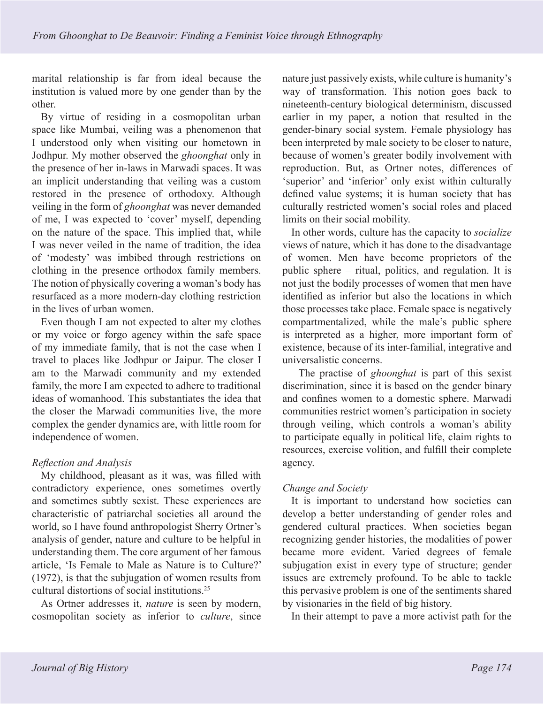<span id="page-9-0"></span>marital relationship is far from ideal because the institution is valued more by one gender than by the other.

By virtue of residing in a cosmopolitan urban space like Mumbai, veiling was a phenomenon that I understood only when visiting our hometown in Jodhpur. My mother observed the *ghoonghat* only in the presence of her in-laws in Marwadi spaces. It was an implicit understanding that veiling was a custom restored in the presence of orthodoxy. Although veiling in the form of *ghoonghat* was never demanded of me, I was expected to 'cover' myself, depending on the nature of the space. This implied that, while I was never veiled in the name of tradition, the idea of 'modesty' was imbibed through restrictions on clothing in the presence orthodox family members. The notion of physically covering a woman's body has resurfaced as a more modern-day clothing restriction in the lives of urban women.

Even though I am not expected to alter my clothes or my voice or forgo agency within the safe space of my immediate family, that is not the case when I travel to places like Jodhpur or Jaipur. The closer I am to the Marwadi community and my extended family, the more I am expected to adhere to traditional ideas of womanhood. This substantiates the idea that the closer the Marwadi communities live, the more complex the gender dynamics are, with little room for independence of women.

# *Reflection and Analysis*

My childhood, pleasant as it was, was filled with contradictory experience, ones sometimes overtly and sometimes subtly sexist. These experiences are characteristic of patriarchal societies all around the world, so I have found anthropologist Sherry Ortner's analysis of gender, nature and culture to be helpful in understanding them. The core argument of her famous article, 'Is Female to Male as Nature is to Culture?' (1972), is that the subjugation of women results from cultural distortions of social institutions.[25](#page-13-0)

As Ortner addresses it, *nature* is seen by modern, cosmopolitan society as inferior to *culture*, since

nature just passively exists, while culture is humanity's way of transformation. This notion goes back to nineteenth-century biological determinism, discussed earlier in my paper, a notion that resulted in the gender-binary social system. Female physiology has been interpreted by male society to be closer to nature, because of women's greater bodily involvement with reproduction. But, as Ortner notes, differences of 'superior' and 'inferior' only exist within culturally defined value systems; it is human society that has culturally restricted women's social roles and placed limits on their social mobility.

In other words, culture has the capacity to *socialize* views of nature, which it has done to the disadvantage of women. Men have become proprietors of the public sphere – ritual, politics, and regulation. It is not just the bodily processes of women that men have identified as inferior but also the locations in which those processes take place. Female space is negatively compartmentalized, while the male's public sphere is interpreted as a higher, more important form of existence, because of its inter-familial, integrative and universalistic concerns.

The practise of *ghoonghat* is part of this sexist discrimination, since it is based on the gender binary and confines women to a domestic sphere. Marwadi communities restrict women's participation in society through veiling, which controls a woman's ability to participate equally in political life, claim rights to resources, exercise volition, and fulfill their complete agency.

# *Change and Society*

It is important to understand how societies can develop a better understanding of gender roles and gendered cultural practices. When societies began recognizing gender histories, the modalities of power became more evident. Varied degrees of female subjugation exist in every type of structure; gender issues are extremely profound. To be able to tackle this pervasive problem is one of the sentiments shared by visionaries in the field of big history.

In their attempt to pave a more activist path for the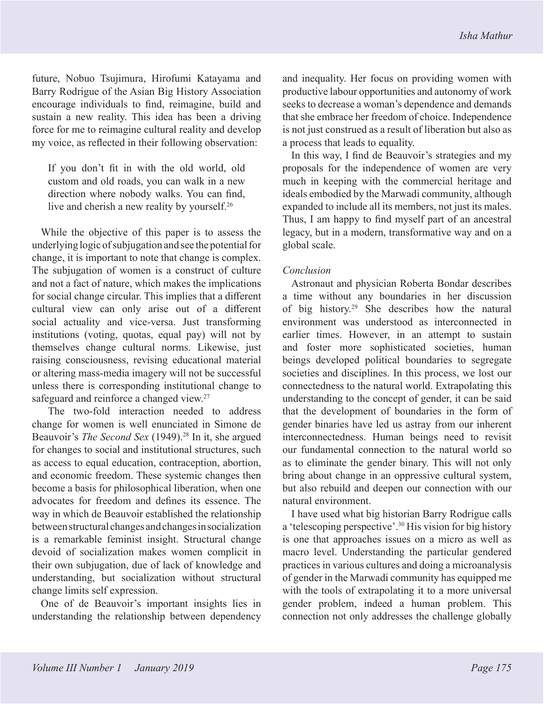<span id="page-10-0"></span>future, Nobuo Tsujimura, Hirofumi Katayama and Barry Rodrigue of the Asian Big History Association encourage individuals to find, reimagine, build and sustain a new reality. This idea has been a driving force for me to reimagine cultural reality and develop my voice, as reflected in their following observation:

If you don't fit in with the old world, old custom and old roads, you can walk in a new direction where nobody walks. You can find, live and cherish a new reality by yourself[.26](#page-13-0)

While the objective of this paper is to assess the underlying logic of subjugation and see the potential for change, it is important to note that change is complex. The subjugation of women is a construct of culture and not a fact of nature, which makes the implications for social change circular. This implies that a different cultural view can only arise out of a different social actuality and vice-versa. Just transforming institutions (voting, quotas, equal pay) will not by themselves change cultural norms. Likewise, just raising consciousness, revising educational material or altering mass-media imagery will not be successful unless there is corresponding institutional change to safeguard and reinforce a changed view.<sup>27</sup>

The two-fold interaction needed to address change for women is well enunciated in Simone de Beauvoir's *The Second Sex* (1949).<sup>28</sup> In it, she argued for changes to social and institutional structures, such as access to equal education, contraception, abortion, and economic freedom. These systemic changes then become a basis for philosophical liberation, when one advocates for freedom and defines its essence. The way in which de Beauvoir established the relationship between structural changes and changes in socialization is a remarkable feminist insight. Structural change devoid of socialization makes women complicit in their own subjugation, due of lack of knowledge and understanding, but socialization without structural change limits self expression.

One of de Beauvoir's important insights lies in understanding the relationship between dependency and inequality. Her focus on providing women with productive labour opportunities and autonomy of work seeks to decrease a woman's dependence and demands that she embrace her freedom of choice. Independence is not just construed as a result of liberation but also as a process that leads to equality.

In this way, I find de Beauvoir's strategies and my proposals for the independence of women are very much in keeping with the commercial heritage and ideals embodied by the Marwadi community, although expanded to include all its members, not just its males. Thus, I am happy to find myself part of an ancestral legacy, but in a modern, transformative way and on a global scale.

## *Conclusion*

Astronaut and physician Roberta Bondar describes a time without any boundaries in her discussion of big history.[29](#page-13-0) She describes how the natural environment was understood as interconnected in earlier times. However, in an attempt to sustain and foster more sophisticated societies, human beings developed political boundaries to segregate societies and disciplines. In this process, we lost our connectedness to the natural world. Extrapolating this understanding to the concept of gender, it can be said that the development of boundaries in the form of gender binaries have led us astray from our inherent interconnectedness. Human beings need to revisit our fundamental connection to the natural world so as to eliminate the gender binary. This will not only bring about change in an oppressive cultural system, but also rebuild and deepen our connection with our natural environment.

I have used what big historian Barry Rodrigue calls a 'telescoping perspective'[.30](#page-13-0) His vision for big history is one that approaches issues on a micro as well as macro level. Understanding the particular gendered practices in various cultures and doing a microanalysis of gender in the Marwadi community has equipped me with the tools of extrapolating it to a more universal gender problem, indeed a human problem. This connection not only addresses the challenge globally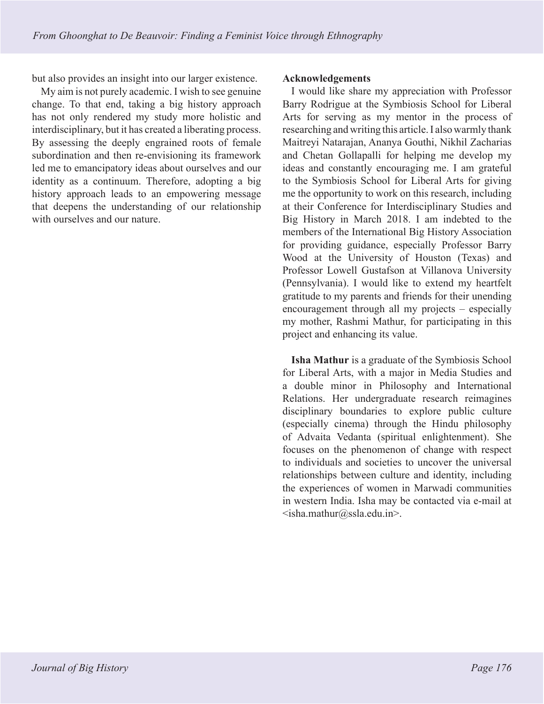but also provides an insight into our larger existence.

My aim is not purely academic. I wish to see genuine change. To that end, taking a big history approach has not only rendered my study more holistic and interdisciplinary, but it has created a liberating process. By assessing the deeply engrained roots of female subordination and then re-envisioning its framework led me to emancipatory ideas about ourselves and our identity as a continuum. Therefore, adopting a big history approach leads to an empowering message that deepens the understanding of our relationship with ourselves and our nature.

#### **Acknowledgements**

I would like share my appreciation with Professor Barry Rodrigue at the Symbiosis School for Liberal Arts for serving as my mentor in the process of researching and writing this article. I also warmly thank Maitreyi Natarajan, Ananya Gouthi, Nikhil Zacharias and Chetan Gollapalli for helping me develop my ideas and constantly encouraging me. I am grateful to the Symbiosis School for Liberal Arts for giving me the opportunity to work on this research, including at their Conference for Interdisciplinary Studies and Big History in March 2018. I am indebted to the members of the International Big History Association for providing guidance, especially Professor Barry Wood at the University of Houston (Texas) and Professor Lowell Gustafson at Villanova University (Pennsylvania). I would like to extend my heartfelt gratitude to my parents and friends for their unending encouragement through all my projects – especially my mother, Rashmi Mathur, for participating in this project and enhancing its value.

**Isha Mathur** is a graduate of the Symbiosis School for Liberal Arts, with a major in Media Studies and a double minor in Philosophy and International Relations. Her undergraduate research reimagines disciplinary boundaries to explore public culture (especially cinema) through the Hindu philosophy of Advaita Vedanta (spiritual enlightenment). She focuses on the phenomenon of change with respect to individuals and societies to uncover the universal relationships between culture and identity, including the experiences of women in Marwadi communities in western India. Isha may be contacted via e-mail at  $\le$ isha.mathur@ssla.edu.in>.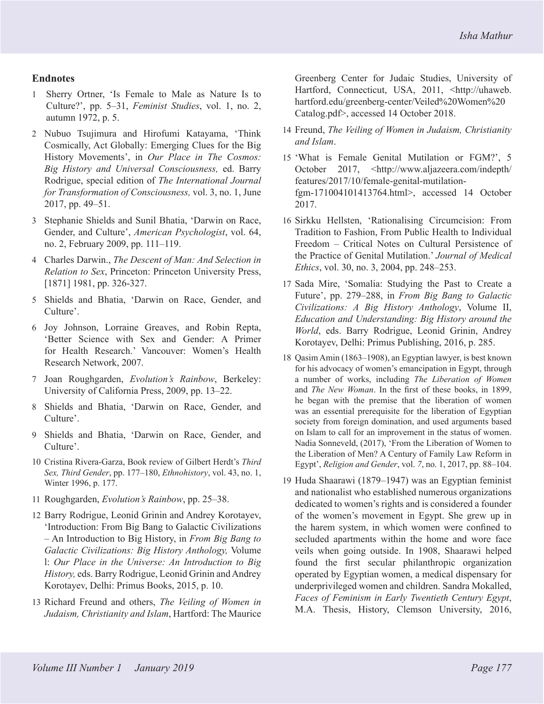## <span id="page-12-0"></span>**Endnotes**

- [1](#page-0-0) Sherry Ortner, 'Is Female to Male as Nature Is to Culture?', pp. 5–31, *Feminist Studies*, vol. 1, no. 2, autumn 1972, p. 5.
- [2](#page-0-0) Nubuo Tsujimura and Hirofumi Katayama, 'Think Cosmically, Act Globally: Emerging Clues for the Big History Movements', in *Our Place in The Cosmos: Big History and Universal Consciousness,* ed. Barry Rodrigue, special edition of *The International Journal for Transformation of Consciousness,* vol. 3, no. 1, June 2017, pp. 49–51.
- [3](#page-1-0) Stephanie Shields and Sunil Bhatia, 'Darwin on Race, Gender, and Culture', *American Psychologist*, vol. 64, no. 2, February 2009, pp. 111–119.
- [4](#page-1-0) Charles Darwin., *The Descent of Man: And Selection in Relation to Sex*, Princeton: Princeton University Press, [1871] 1981, pp. 326-327.
- [5](#page-1-0) Shields and Bhatia, 'Darwin on Race, Gender, and Culture'.
- [6](#page-2-0) Joy Johnson, Lorraine Greaves, and Robin Repta, 'Better Science with Sex and Gender: A Primer for Health Research.' Vancouver: Women's Health Research Network, 2007.
- [7](#page-2-0) Joan Roughgarden, *Evolution's Rainbow*, Berkeley: University of California Press, 2009, pp. 13–22.
- [8](#page-2-0) Shields and Bhatia, 'Darwin on Race, Gender, and Culture'.
- [9](#page-2-0) Shields and Bhatia, 'Darwin on Race, Gender, and Culture'.
- [10](#page-2-0) Cristina Rivera-Garza, Book review of Gilbert Herdt's *Third Sex, Third Gender*, pp. 177–180, *Ethnohistory*, vol. 43, no. 1, Winter 1996, p. 177.
- [11](#page-2-0) Roughgarden, *Evolution's Rainbow*, pp. 25–38.
- [12](#page-3-0) Barry Rodrigue, Leonid Grinin and Andrey Korotayev, 'Introduction: From Big Bang to Galactic Civilizations – An Introduction to Big History, in *From Big Bang to Galactic Civilizations: Big History Anthology,* Volume l: *Our Place in the Universe: An Introduction to Big History,* eds. Barry Rodrigue, Leonid Grinin and Andrey Korotayev, Delhi: Primus Books, 2015, p. 10.
- [13](#page-3-0) Richard Freund and others, *The Veiling of Women in Judaism, Christianity and Islam*, Hartford: The Maurice

Greenberg Center for Judaic Studies, University of Hartford, Connecticut, USA, 2011, <http://uhaweb. hartford.edu/greenberg-center/Veiled%20Women%20 Catalog.pdf>, accessed 14 October 2018.

- [14](#page-3-0) Freund, *The Veiling of Women in Judaism, Christianity and Islam*.
- [15](#page-3-0) 'What is Female Genital Mutilation or FGM?', 5 October 2017, <http://www.aljazeera.com/indepth/ features/2017/10/female-genital-mutilationfgm-171004101413764.html>, accessed 14 October 2017.
- [16](#page-3-0) Sirkku Hellsten, 'Rationalising Circumcision: From Tradition to Fashion, From Public Health to Individual Freedom – Critical Notes on Cultural Persistence of the Practice of Genital Mutilation.' *Journal of Medical Ethics*, vol. 30, no. 3, 2004, pp. 248–253.
- [17](#page-3-0) Sada Mire, 'Somalia: Studying the Past to Create a Future', pp. 279–288, in *From Big Bang to Galactic Civilizations: A Big History Anthology*, Volume II, *Education and Understanding: Big History around the World*, eds. Barry Rodrigue, Leonid Grinin, Andrey Korotayev, Delhi: Primus Publishing, 2016, p. 285.
- [18](#page-4-0) Qasim Amin (1863–1908), an Egyptian lawyer, is best known for his advocacy of women's emancipation in Egypt, through a number of works, including *The Liberation of Women* and *The New Woman*. In the first of these books, in 1899, he began with the premise that the liberation of women was an essential prerequisite for the liberation of Egyptian society from foreign domination, and used arguments based on Islam to call for an improvement in the status of women. Nadia Sonneveld, (2017), 'From the Liberation of Women to the Liberation of Men? A Century of Family Law Reform in Egypt', *Religion and Gender*, vol. *7*, no. 1, 2017, pp. 88–104.
- [19](#page-4-0) Huda Shaarawi (1879–1947) was an Egyptian feminist and nationalist who established numerous organizations dedicated to women's rights and is considered a founder of the women's movement in Egypt. She grew up in the harem system, in which women were confined to secluded apartments within the home and wore face veils when going outside. In 1908, Shaarawi helped found the first secular philanthropic organization operated by Egyptian women, a medical dispensary for underprivileged women and children. Sandra Mokalled, *Faces of Feminism in Early Twentieth Century Egypt*, M.A. Thesis, History, Clemson University, 2016,